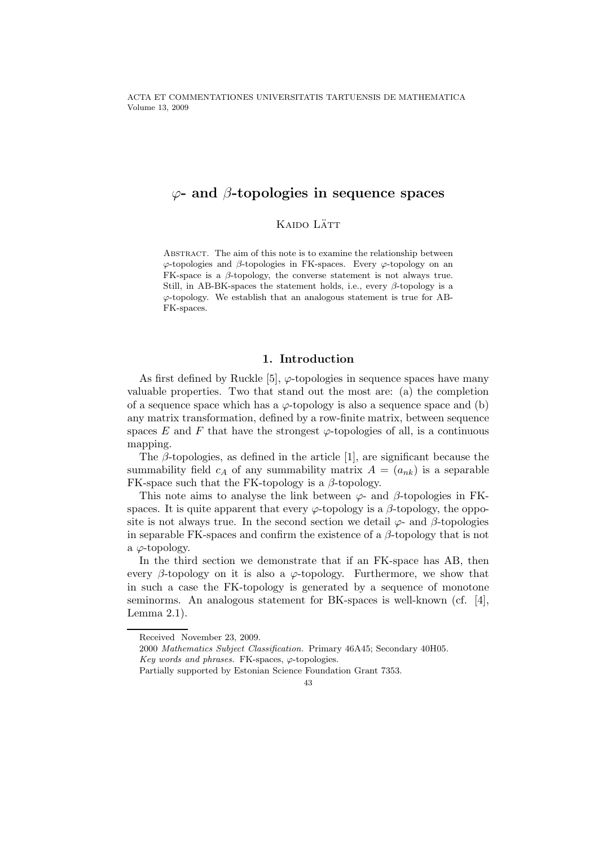ACTA ET COMMENTATIONES UNIVERSITATIS TARTUENSIS DE MATHEMATICA Volume 13, 2009

# $\varphi$ - and  $\beta$ -topologies in sequence spaces

### Kaido Lätt

Abstract. The aim of this note is to examine the relationship between  $\varphi$ -topologies and  $\beta$ -topologies in FK-spaces. Every  $\varphi$ -topology on an FK-space is a  $\beta$ -topology, the converse statement is not always true. Still, in AB-BK-spaces the statement holds, i.e., every  $\beta$ -topology is a  $\varphi$ -topology. We establish that an analogous statement is true for AB-FK-spaces.

## 1. Introduction

As first defined by Ruckle [5],  $\varphi$ -topologies in sequence spaces have many valuable properties. Two that stand out the most are: (a) the completion of a sequence space which has a  $\varphi$ -topology is also a sequence space and (b) any matrix transformation, defined by a row-finite matrix, between sequence spaces E and F that have the strongest  $\varphi$ -topologies of all, is a continuous mapping.

The  $\beta$ -topologies, as defined in the article [1], are significant because the summability field  $c_A$  of any summability matrix  $A = (a_{nk})$  is a separable FK-space such that the FK-topology is a  $\beta$ -topology.

This note aims to analyse the link between  $\varphi$ - and  $\beta$ -topologies in FKspaces. It is quite apparent that every  $\varphi$ -topology is a  $\beta$ -topology, the opposite is not always true. In the second section we detail  $\varphi$ - and  $\beta$ -topologies in separable FK-spaces and confirm the existence of a  $\beta$ -topology that is not a  $\varphi$ -topology.

In the third section we demonstrate that if an FK-space has AB, then every  $\beta$ -topology on it is also a  $\varphi$ -topology. Furthermore, we show that in such a case the FK-topology is generated by a sequence of monotone seminorms. An analogous statement for BK-spaces is well-known (cf. [4], Lemma 2.1).

Received November 23, 2009.

<sup>2000</sup> Mathematics Subject Classification. Primary 46A45; Secondary 40H05.

Key words and phrases. FK-spaces,  $\varphi$ -topologies.

Partially supported by Estonian Science Foundation Grant 7353.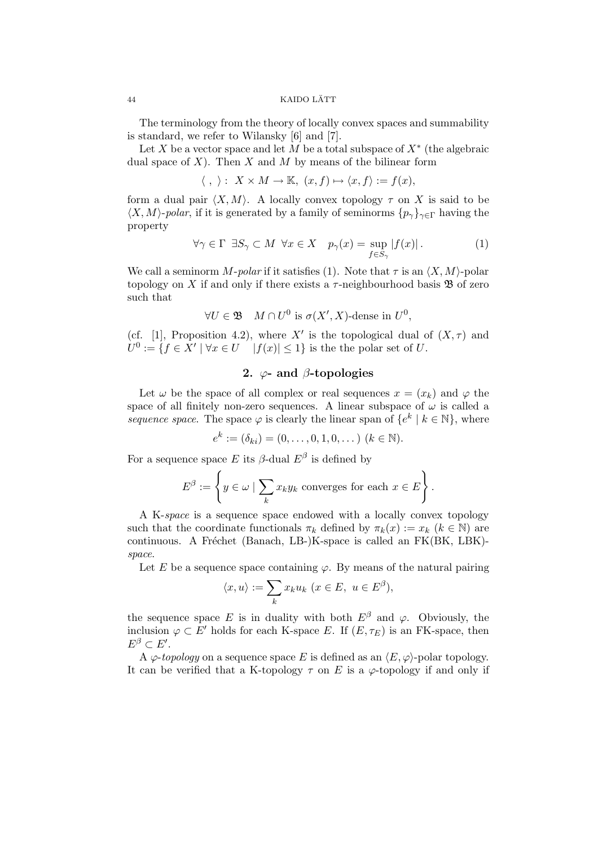#### 44 KAIDO LATT ¨

The terminology from the theory of locally convex spaces and summability is standard, we refer to Wilansky [6] and [7].

Let X be a vector space and let M be a total subspace of  $X^*$  (the algebraic dual space of  $X$ ). Then  $X$  and  $M$  by means of the bilinear form

$$
\langle , \rangle: X \times M \to \mathbb{K}, (x, f) \mapsto \langle x, f \rangle := f(x),
$$

form a dual pair  $\langle X, M \rangle$ . A locally convex topology  $\tau$  on X is said to be  $\langle X, M \rangle$ -polar, if it is generated by a family of seminorms  $\{p_\gamma\}_{\gamma \in \Gamma}$  having the property

$$
\forall \gamma \in \Gamma \exists S_{\gamma} \subset M \ \forall x \in X \quad p_{\gamma}(x) = \sup_{f \in S_{\gamma}} |f(x)|. \tag{1}
$$

We call a seminorm M-polar if it satisfies (1). Note that  $\tau$  is an  $\langle X, M \rangle$ -polar topology on X if and only if there exists a  $\tau$ -neighbourhood basis **B** of zero such that

$$
\forall U \in \mathfrak{B} \quad M \cap U^0 \text{ is } \sigma(X', X)\text{-dense in } U^0,
$$

(cf. [1], Proposition 4.2), where X' is the topological dual of  $(X, \tau)$  and  $U^0 := \{ f \in \overline{X}' \mid \forall x \in U \quad |f(x)| \leq 1 \}$  is the the polar set of U.

## 2.  $\varphi$ - and  $\beta$ -topologies

Let  $\omega$  be the space of all complex or real sequences  $x = (x_k)$  and  $\varphi$  the space of all finitely non-zero sequences. A linear subspace of  $\omega$  is called a sequence space. The space  $\varphi$  is clearly the linear span of  $\{e^k \mid k \in \mathbb{N}\}\,$ , where

$$
e^k := (\delta_{ki}) = (0, \ldots, 0, 1, 0, \ldots) \ (k \in \mathbb{N}).
$$

For a sequence space E its  $\beta$ -dual  $E^{\beta}$  is defined by

$$
E^{\beta} := \left\{ y \in \omega \mid \sum_{k} x_{k} y_{k} \text{ converges for each } x \in E \right\}.
$$

A K-space is a sequence space endowed with a locally convex topology such that the coordinate functionals  $\pi_k$  defined by  $\pi_k(x) := x_k$   $(k \in \mathbb{N})$  are continuous. A Fréchet (Banach, LB-)K-space is called an  $FK(BK, LBK)$ space.

Let E be a sequence space containing  $\varphi$ . By means of the natural pairing

$$
\langle x, u \rangle := \sum_k x_k u_k \ (x \in E, \ u \in E^{\beta}),
$$

the sequence space E is in duality with both  $E^{\beta}$  and  $\varphi$ . Obviously, the inclusion  $\varphi \subset E'$  holds for each K-space E. If  $(E, \tau_E)$  is an FK-space, then  $E^{\beta} \subset E'.$ 

A  $\varphi$ -topology on a sequence space E is defined as an  $\langle E, \varphi \rangle$ -polar topology. It can be verified that a K-topology  $\tau$  on E is a  $\varphi$ -topology if and only if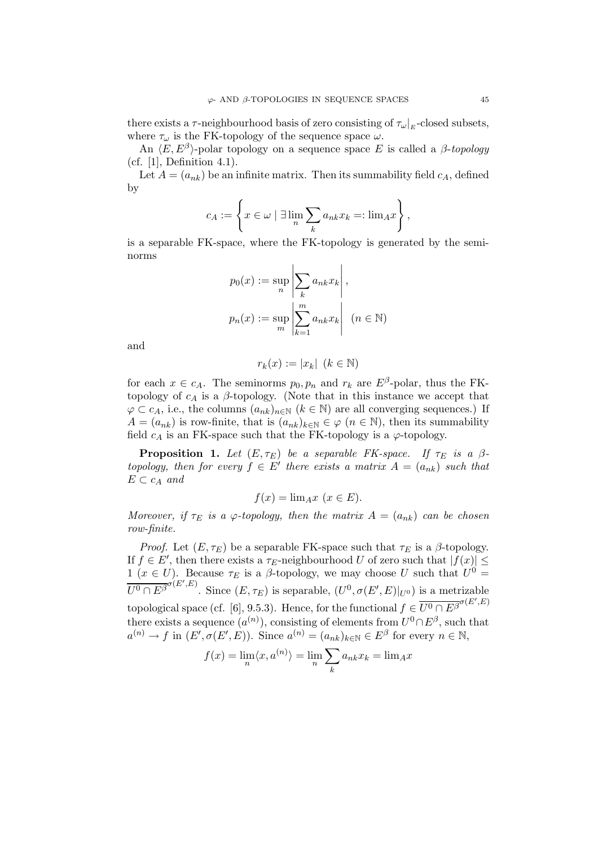there exists a  $\tau$ -neighbourhood basis of zero consisting of  $\tau_{\omega}|_{E}$ -closed subsets, where  $\tau_{\omega}$  is the FK-topology of the sequence space  $\omega.$ 

An  $\langle E, E^{\beta} \rangle$ -polar topology on a sequence space E is called a  $\beta$ -topology (cf. [1], Definition 4.1).

Let  $A = (a_{nk})$  be an infinite matrix. Then its summability field  $c_A$ , defined by

$$
c_A := \left\{ x \in \omega \mid \exists \lim_n \sum_k a_{nk} x_k =: \lim_A x \right\},\,
$$

is a separable FK-space, where the FK-topology is generated by the seminorms

$$
p_0(x) := \sup_n \left| \sum_k a_{nk} x_k \right|,
$$
  

$$
p_n(x) := \sup_m \left| \sum_{k=1}^m a_{nk} x_k \right| \ (n \in \mathbb{N})
$$

and

$$
r_k(x):=|x_k|~(k\in\mathbb{N})
$$

for each  $x \in c_A$ . The seminorms  $p_0, p_n$  and  $r_k$  are  $E^{\beta}$ -polar, thus the FKtopology of  $c_A$  is a  $\beta$ -topology. (Note that in this instance we accept that  $\varphi \subset c_A$ , i.e., the columns  $(a_{nk})_{n \in \mathbb{N}}$  ( $k \in \mathbb{N}$ ) are all converging sequences.) If  $A = (a_{nk})$  is row-finite, that is  $(a_{nk})_{k \in \mathbb{N}} \in \varphi \ (n \in \mathbb{N})$ , then its summability field  $c_A$  is an FK-space such that the FK-topology is a  $\varphi$ -topology.

**Proposition 1.** Let  $(E, \tau_E)$  be a separable FK-space. If  $\tau_E$  is a  $\beta$ topology, then for every  $\hat{f} \in E'$  there exists a matrix  $A = (a_{nk})$  such that  $E \subset c_A$  and

$$
f(x) = \lim_{Ax} (x \in E).
$$

Moreover, if  $\tau_E$  is a  $\varphi$ -topology, then the matrix  $A = (a_{nk})$  can be chosen row-finite.

*Proof.* Let  $(E, \tau_E)$  be a separable FK-space such that  $\tau_E$  is a  $\beta$ -topology. If  $f \in E'$ , then there exists a  $\tau_E$ -neighbourhood U of zero such that  $|f(x)| \le$ 1 ( $x \in U$ ). Because  $\tau_E$  is a  $\beta$ -topology, we may choose U such that  $U^0 =$  $\overline{U^0 \cap E^{\beta}}^{\sigma(E',E)}$ . Since  $(E, \tau_E)$  is separable,  $(U^0, \sigma(E', E)|_{U^0})$  is a metrizable topological space (cf. [6], 9.5.3). Hence, for the functional  $f \in \overline{U^0 \cap E^{\beta}}^{\sigma(E',E)}$ there exists a sequence  $(a^{(n)})$ , consisting of elements from  $U^0 \cap E^{\beta}$ , such that  $a^{(n)} \to f$  in  $(E', \sigma(E', E))$ . Since  $a^{(n)} = (a_{nk})_{k \in \mathbb{N}} \in E^{\beta}$  for every  $n \in \mathbb{N}$ ,

$$
f(x) = \lim_{n} \langle x, a^{(n)} \rangle = \lim_{n} \sum_{k} a_{nk} x_k = \lim_{k} x_k
$$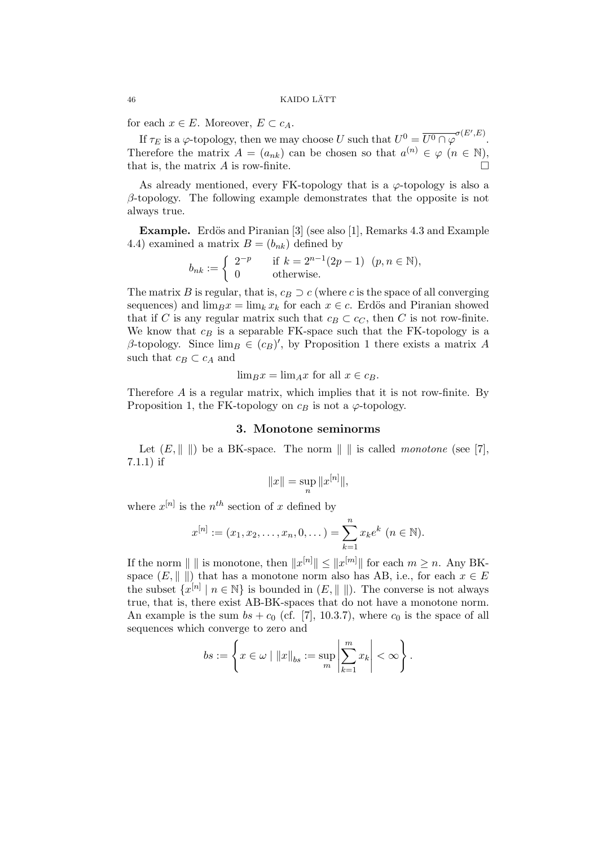for each  $x \in E$ . Moreover,  $E \subset c_A$ .

If  $\tau_E$  is a  $\varphi$ -topology, then we may choose U such that  $U^0 = \overline{U^0 \cap \varphi}^{\sigma(E',E)}$ . Therefore the matrix  $A = (a_{nk})$  can be chosen so that  $a^{(n)} \in \varphi \ (n \in \mathbb{N}),$ that is, the matrix  $A$  is row-finite.

As already mentioned, every FK-topology that is a  $\varphi$ -topology is also a  $\beta$ -topology. The following example demonstrates that the opposite is not always true.

**Example.** Erdös and Piranian [3] (see also [1], Remarks 4.3 and Example 4.4) examined a matrix  $B = (b_{nk})$  defined by

$$
b_{nk} := \begin{cases} 2^{-p} & \text{if } k = 2^{n-1}(2p-1) \ (p, n \in \mathbb{N}), \\ 0 & \text{otherwise.} \end{cases}
$$

The matrix B is regular, that is,  $c_B \supset c$  (where c is the space of all converging sequences) and  $\lim_{B}x = \lim_{k} x_k$  for each  $x \in c$ . Erdös and Piranian showed that if C is any regular matrix such that  $c_B \subset c_C$ , then C is not row-finite. We know that  $c_B$  is a separable FK-space such that the FK-topology is a  $\beta$ -topology. Since  $\lim_{B \to \infty} \overline{E(G)}$ , by Proposition 1 there exists a matrix A such that  $c_B \subset c_A$  and

$$
\lim_{B} x = \lim_{A} x \text{ for all } x \in c_B.
$$

Therefore A is a regular matrix, which implies that it is not row-finite. By Proposition 1, the FK-topology on  $c_B$  is not a  $\varphi$ -topology.

#### 3. Monotone seminorms

Let  $(E, \|\ \|)$  be a BK-space. The norm  $\|\ \|$  is called monotone (see [7], 7.1.1) if

$$
||x|| = \sup_n ||x^{[n]}||,
$$

where  $x^{[n]}$  is the  $n^{th}$  section of x defined by

$$
x^{[n]} := (x_1, x_2, \dots, x_n, 0, \dots) = \sum_{k=1}^n x_k e^k \ (n \in \mathbb{N}).
$$

If the norm  $|| \ ||$  is monotone, then  $||x^{[n]}|| \leq ||x^{[m]}||$  for each  $m \geq n$ . Any BKspace  $(E, \|\ \|)$  that has a monotone norm also has AB, i.e., for each  $x \in E$ the subset  $\{x^{[n]} \mid n \in \mathbb{N}\}$  is bounded in  $(E, \|\ \|)$ . The converse is not always true, that is, there exist AB-BK-spaces that do not have a monotone norm. An example is the sum  $bs + c_0$  (cf. [7], 10.3.7), where  $c_0$  is the space of all sequences which converge to zero and

$$
bs := \left\{ x \in \omega \mid ||x||_{bs} := \sup_m \left| \sum_{k=1}^m x_k \right| < \infty \right\}.
$$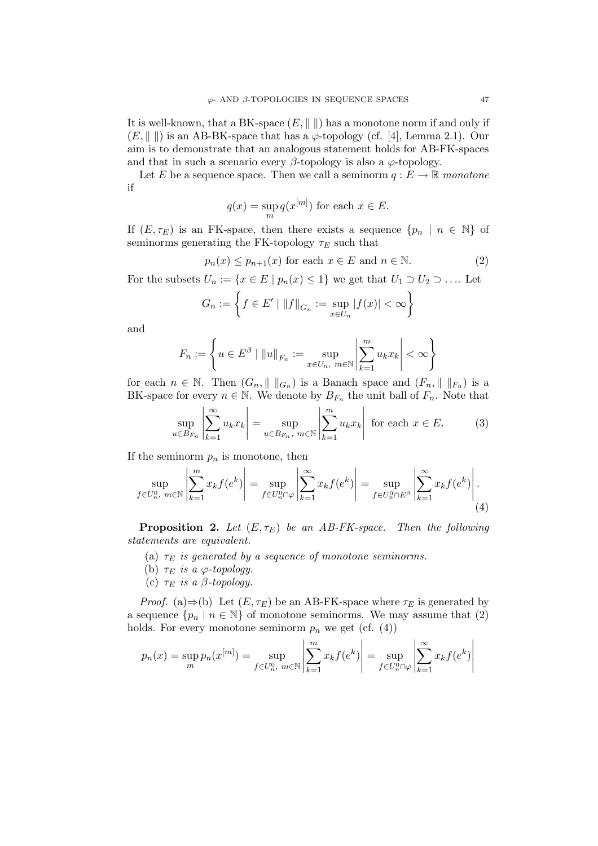It is well-known, that a BK-space  $(E, \|\ \|)$  has a monotone norm if and only if  $(E, \|\ \|)$  is an AB-BK-space that has a  $\varphi$ -topology (cf. [4], Lemma 2.1). Our aim is to demonstrate that an analogous statement holds for AB-FK-spaces and that in such a scenario every  $\beta$ -topology is also a  $\varphi$ -topology.

Let E be a sequence space. Then we call a seminorm  $q : E \to \mathbb{R}$  monotone if

$$
q(x) = \sup_{m} q(x^{[m]})
$$
 for each  $x \in E$ .

If  $(E, \tau_E)$  is an FK-space, then there exists a sequence  $\{p_n \mid n \in \mathbb{N}\}\$  of seminorms generating the FK-topology  $\tau_E$  such that

$$
p_n(x) \le p_{n+1}(x) \text{ for each } x \in E \text{ and } n \in \mathbb{N}.
$$
 (2)

For the subsets  $U_n := \{x \in E \mid p_n(x) \leq 1\}$  we get that  $U_1 \supset U_2 \supset \dots$  Let

$$
G_n := \left\{ f \in E' \mid ||f||_{G_n} := \sup_{x \in U_n} |f(x)| < \infty \right\}
$$

and

$$
F_n := \left\{ u \in E^{\beta} \mid ||u||_{F_n} := \sup_{x \in U_n, \ m \in \mathbb{N}} \left| \sum_{k=1}^m u_k x_k \right| < \infty \right\}
$$

for each  $n \in \mathbb{N}$ . Then  $(G_n, \|\ \|_{G_n})$  is a Banach space and  $(F_n, \|\ \|_{F_n})$  is a BK-space for every  $n \in \mathbb{N}$ . We denote by  $B_{F_n}$  the unit ball of  $F_n$ . Note that

$$
\sup_{u \in B_{F_n}} \left| \sum_{k=1}^{\infty} u_k x_k \right| = \sup_{u \in B_{F_n}, m \in \mathbb{N}} \left| \sum_{k=1}^m u_k x_k \right| \text{ for each } x \in E. \tag{3}
$$

If the seminorm  $p_n$  is monotone, then

$$
\sup_{f \in U_n^0, m \in \mathbb{N}} \left| \sum_{k=1}^m x_k f(e^k) \right| = \sup_{f \in U_n^0 \cap \varphi} \left| \sum_{k=1}^\infty x_k f(e^k) \right| = \sup_{f \in U_n^0 \cap E^\beta} \left| \sum_{k=1}^\infty x_k f(e^k) \right|.
$$
\n(4)

**Proposition 2.** Let  $(E, \tau_E)$  be an AB-FK-space. Then the following statements are equivalent.

- (a)  $\tau_E$  is generated by a sequence of monotone seminorms.
- (b)  $\tau_E$  is a  $\varphi$ -topology.
- (c)  $\tau_E$  is a  $\beta$ -topology.

*Proof.* (a)⇒(b) Let  $(E, \tau_E)$  be an AB-FK-space where  $\tau_E$  is generated by a sequence  $\{p_n \mid n \in \mathbb{N}\}\$  of monotone seminorms. We may assume that (2) holds. For every monotone seminorm  $p_n$  we get (cf.  $(4)$ )

$$
p_n(x) = \sup_m p_n(x^{[m]}) = \sup_{f \in U_n^0, \ m \in \mathbb{N}} \left| \sum_{k=1}^m x_k f(e^k) \right| = \sup_{f \in U_n^0 \cap \varphi} \left| \sum_{k=1}^\infty x_k f(e^k) \right|
$$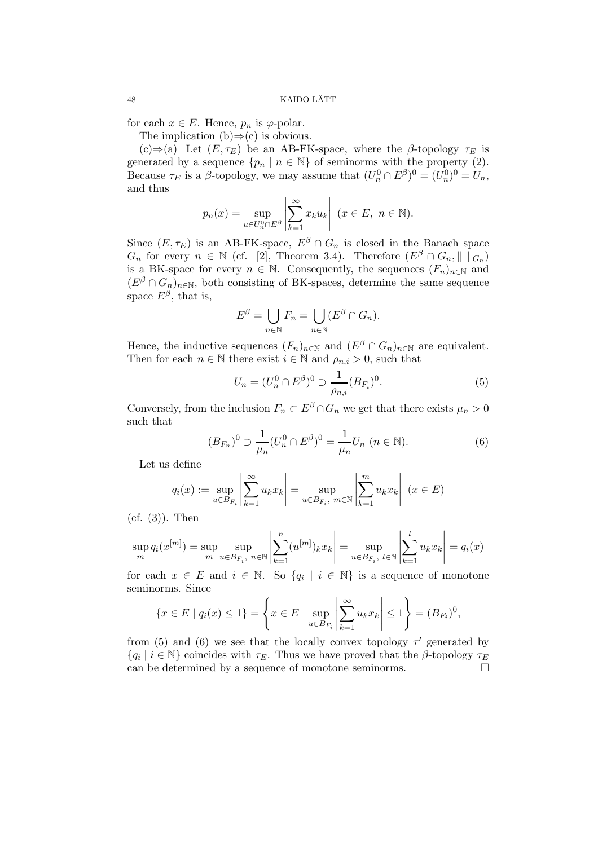for each  $x \in E$ . Hence,  $p_n$  is  $\varphi$ -polar.

The implication  $(b) \Rightarrow (c)$  is obvious.

(c)⇒(a) Let  $(E, \tau_E)$  be an AB-FK-space, where the  $\beta$ -topology  $\tau_E$  is generated by a sequence  $\{p_n \mid n \in \mathbb{N}\}\$  of seminorms with the property (2). Because  $\tau_E$  is a  $\beta$ -topology, we may assume that  $(U_n^0 \cap E^{\beta})^0 = (U_n^0)^0 = U_n$ , and thus

$$
p_n(x) = \sup_{u \in U_n^0 \cap E^{\beta}} \left| \sum_{k=1}^{\infty} x_k u_k \right| \ (x \in E, \ n \in \mathbb{N}).
$$

Since  $(E, \tau_E)$  is an AB-FK-space,  $E^{\beta} \cap G_n$  is closed in the Banach space  $G_n$  for every  $n \in \mathbb{N}$  (cf. [2], Theorem 3.4). Therefore  $(E^{\beta} \cap G_n, || \, ||_{G_n})$ is a BK-space for every  $n \in \mathbb{N}$ . Consequently, the sequences  $(F_n)_{n \in \mathbb{N}}$  and  $(E^{\beta} \cap G_n)_{n \in \mathbb{N}}$ , both consisting of BK-spaces, determine the same sequence space  $E^{\beta}$ , that is,

$$
E^{\beta} = \bigcup_{n \in \mathbb{N}} F_n = \bigcup_{n \in \mathbb{N}} (E^{\beta} \cap G_n).
$$

Hence, the inductive sequences  $(F_n)_{n\in\mathbb{N}}$  and  $(E^{\beta} \cap G_n)_{n\in\mathbb{N}}$  are equivalent. Then for each  $n \in \mathbb{N}$  there exist  $i \in \mathbb{N}$  and  $\rho_{n,i} > 0$ , such that

$$
U_n = (U_n^0 \cap E^\beta)^0 \supset \frac{1}{\rho_{n,i}} (B_{F_i})^0. \tag{5}
$$

Conversely, from the inclusion  $F_n \subset E^{\beta} \cap G_n$  we get that there exists  $\mu_n > 0$ such that

$$
(B_{F_n})^0 \supset \frac{1}{\mu_n} (U_n^0 \cap E^\beta)^0 = \frac{1}{\mu_n} U_n \ (n \in \mathbb{N}). \tag{6}
$$

Let us define

$$
q_i(x) := \sup_{u \in B_{F_i}} \left| \sum_{k=1}^{\infty} u_k x_k \right| = \sup_{u \in B_{F_i}, m \in \mathbb{N}} \left| \sum_{k=1}^{m} u_k x_k \right| \ (x \in E)
$$

 $(cf. (3))$ . Then

$$
\sup_{m} q_i(x^{[m]}) = \sup_{m} \sup_{u \in B_{F_i}, n \in \mathbb{N}} \left| \sum_{k=1}^{n} (u^{[m]})_k x_k \right| = \sup_{u \in B_{F_i}, l \in \mathbb{N}} \left| \sum_{k=1}^{l} u_k x_k \right| = q_i(x)
$$

for each  $x \in E$  and  $i \in \mathbb{N}$ . So  $\{q_i \mid i \in \mathbb{N}\}\$ is a sequence of monotone seminorms. Since

$$
\{x \in E \mid q_i(x) \le 1\} = \left\{x \in E \mid \sup_{u \in B_{F_i}} \left| \sum_{k=1}^{\infty} u_k x_k \right| \le 1\right\} = (B_{F_i})^0,
$$

from (5) and (6) we see that the locally convex topology  $\tau'$  generated by  ${q_i \mid i \in \mathbb{N}}$  coincides with  $\tau_E$ . Thus we have proved that the  $\beta$ -topology  $\tau_E$ can be determined by a sequence of monotone seminorms.